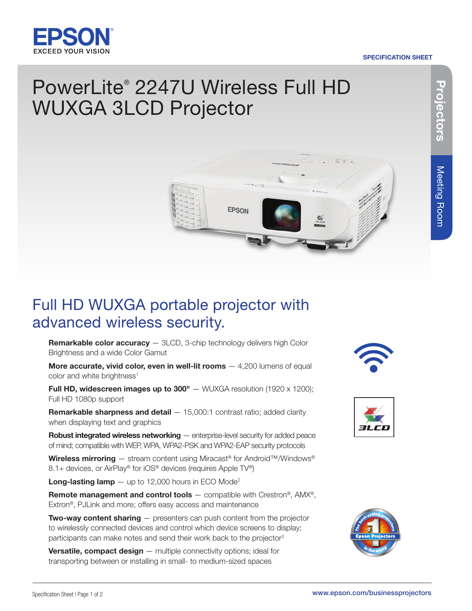

#### SPECIFICATION SHEET

# PowerLite® 2247U Wireless Full HD WUXGA 3LCD Projector



## Full HD WUXGA portable projector with advanced wireless security.

Remarkable color accuracy - 3LCD, 3-chip technology delivers high Color Brightness and a wide Color Gamut

More accurate, vivid color, even in well-lit rooms  $-4,200$  lumens of equal color and white brightness<sup>1</sup>

Full HD, widescreen images up to  $300" - WUXGA$  resolution (1920 x 1200); Full HD 1080p support

**Remarkable sharpness and detail**  $- 15,000:1$  **contrast ratio; added clarity** when displaying text and graphics

Robust integrated wireless networking — enterprise-level security for added peace of mind; compatible with WEP, WPA, WPA2-PSK and WPA2-EAP security protocols

Wireless mirroring – stream content using Miracast<sup>®</sup> for Android™/Windows® 8.1+ devices, or AirPlay® for iOS® devices (requires Apple TV®)

**Long-lasting lamp**  $-$  up to 12,000 hours in ECO Mode<sup>2</sup>

**Remote management and control tools** — compatible with Crestron<sup>®</sup>, AMX<sup>®</sup>, Extron®, PJLink and more; offers easy access and maintenance

**Two-way content sharing**  $-$  presenters can push content from the projector to wirelessly connected devices and control which device screens to display; participants can make notes and send their work back to the projector<sup>3</sup>

**Versatile, compact design**  $-$  multiple connectivity options; ideal for transporting between or installing in small- to medium-sized spaces